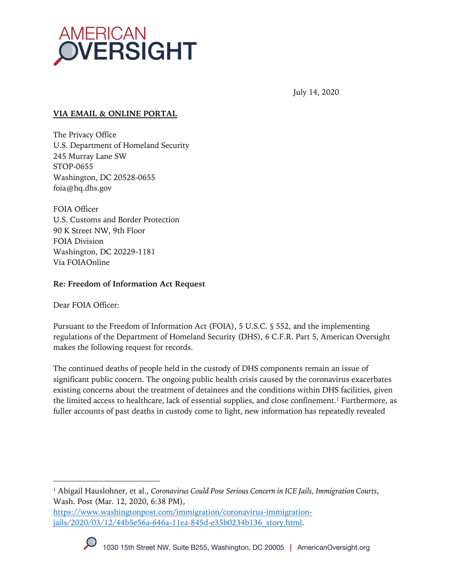

July 14, 2020

#### **VIA EMAIL & ONLINE PORTAL**

The Privacy Office U.S. Department of Homeland Security 245 Murray Lane SW STOP-0655 Washington, DC 20528-0655 foia@hq.dhs.gov

FOIA Officer U.S. Customs and Border Protection 90 K Street NW, 9th Floor FOIA Division Washington, DC 20229-1181 Via FOIAOnline

#### **Re: Freedom of Information Act Request**

Dear FOIA Officer:

Pursuant to the Freedom of Information Act (FOIA), 5 U.S.C. § 552, and the implementing regulations of the Department of Homeland Security (DHS), 6 C.F.R. Part 5, American Oversight makes the following request for records.

The continued deaths of people held in the custody of DHS components remain an issue of significant public concern. The ongoing public health crisis caused by the coronavirus exacerbates existing concerns about the treatment of detainees and the conditions within DHS facilities, given the limited access to healthcare, lack of essential supplies, and close confinement.1 Furthermore, as fuller accounts of past deaths in custody come to light, new information has repeatedly revealed

https://www.washingtonpost.com/immigration/coronavirus-immigrationjails/2020/03/12/44b5e56a-646a-11ea-845d-e35b0234b136\_story.html.



<sup>1</sup> Abigail Hauslohner, et al., *Coronavirus Could Pose Serious Concern in ICE Jails, Immigration Courts*, Wash. Post (Mar. 12, 2020, 6:38 PM),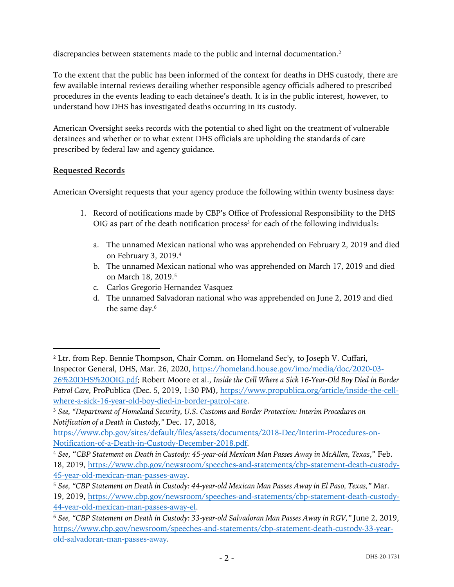discrepancies between statements made to the public and internal documentation.<sup>2</sup>

To the extent that the public has been informed of the context for deaths in DHS custody, there are few available internal reviews detailing whether responsible agency officials adhered to prescribed procedures in the events leading to each detainee's death. It is in the public interest, however, to understand how DHS has investigated deaths occurring in its custody.

American Oversight seeks records with the potential to shed light on the treatment of vulnerable detainees and whether or to what extent DHS officials are upholding the standards of care prescribed by federal law and agency guidance.

# **Requested Records**

American Oversight requests that your agency produce the following within twenty business days:

- 1. Record of notifications made by CBP's Office of Professional Responsibility to the DHS  $OIG$  as part of the death notification process<sup>3</sup> for each of the following individuals:
	- a. The unnamed Mexican national who was apprehended on February 2, 2019 and died on February 3, 2019.4
	- b. The unnamed Mexican national who was apprehended on March 17, 2019 and died on March 18, 2019. 5
	- c. Carlos Gregorio Hernandez Vasquez
	- d. The unnamed Salvadoran national who was apprehended on June 2, 2019 and died the same day. 6

<sup>&</sup>lt;sup>2</sup> Ltr. from Rep. Bennie Thompson, Chair Comm. on Homeland Sec'y, to Joseph V. Cuffari, Inspector General, DHS, Mar. 26, 2020, https://homeland.house.gov/imo/media/doc/2020-03- 26%20DHS%20OIG.pdf; Robert Moore et al., *Inside the Cell Where a Sick 16-Year-Old Boy Died in Border Patrol Care*, ProPublica (Dec. 5, 2019, 1:30 PM), https://www.propublica.org/article/inside-the-cellwhere-a-sick-16-year-old-boy-died-in-border-patrol-care.

<sup>3</sup> *See, "Department of Homeland Security, U.S. Customs and Border Protection: Interim Procedures on Notification of a Death in Custody,"* Dec. 17, 2018,

https://www.cbp.gov/sites/default/files/assets/documents/2018-Dec/Interim-Procedures-on-Notification-of-a-Death-in-Custody-December-2018.pdf.

<sup>4</sup> *See*, "*CBP Statement on Death in Custody: 45-year-old Mexican Man Passes Away in McAllen, Texas*," Feb. 18, 2019, https://www.cbp.gov/newsroom/speeches-and-statements/cbp-statement-death-custody-45-year-old-mexican-man-passes-away.

<sup>5</sup> *See, "CBP Statement on Death in Custody: 44-year-old Mexican Man Passes Away in El Paso, Texas,"* Mar.

<sup>19, 2019,</sup> https://www.cbp.gov/newsroom/speeches-and-statements/cbp-statement-death-custody-44-year-old-mexican-man-passes-away-el.

<sup>6</sup> *See, "CBP Statement on Death in Custody: 33-year-old Salvadoran Man Passes Away in RGV,"* June 2, 2019, https://www.cbp.gov/newsroom/speeches-and-statements/cbp-statement-death-custody-33-yearold-salvadoran-man-passes-away.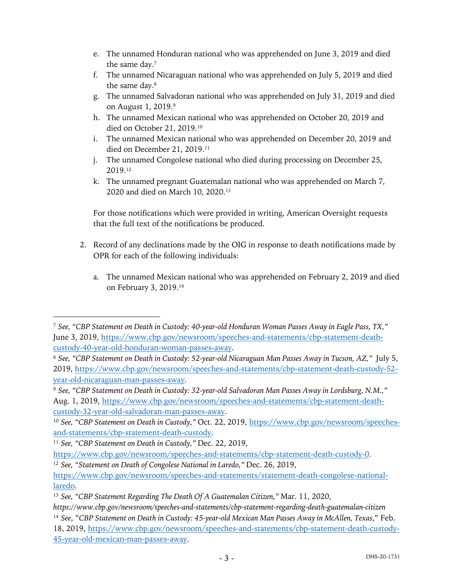- e. The unnamed Honduran national who was apprehended on June 3, 2019 and died the same day.7
- f. The unnamed Nicaraguan national who was apprehended on July 5, 2019 and died the same day.8
- g. The unnamed Salvadoran national who was apprehended on July 31, 2019 and died on August 1, 2019.9
- h. The unnamed Mexican national who was apprehended on October 20, 2019 and died on October 21, 2019.10
- i. The unnamed Mexican national who was apprehended on December 20, 2019 and died on December 21, 2019.<sup>11</sup>
- j. The unnamed Congolese national who died during processing on December 25, 2019.12
- k. The unnamed pregnant Guatemalan national who was apprehended on March 7, 2020 and died on March 10, 2020.13

For those notifications which were provided in writing, American Oversight requests that the full text of the notifications be produced.

- 2. Record of any declinations made by the OIG in response to death notifications made by OPR for each of the following individuals:
	- a. The unnamed Mexican national who was apprehended on February 2, 2019 and died on February 3, 2019.14

<sup>7</sup> *See, "CBP Statement on Death in Custody: 40-year-old Honduran Woman Passes Away in Eagle Pass, TX,"*  June 3, 2019, https://www.cbp.gov/newsroom/speeches-and-statements/cbp-statement-deathcustody-40-year-old-honduran-woman-passes-away.

<sup>8</sup> *See, "CBP Statement on Death in Custody: 52-year-old Nicaraguan Man Passes Away in Tucson, AZ,"* July 5, 2019, https://www.cbp.gov/newsroom/speeches-and-statements/cbp-statement-death-custody-52 year-old-nicaraguan-man-passes-away.

<sup>9</sup> *See, "CBP Statement on Death in Custody: 32-year-old Salvadoran Man Passes Away in Lordsburg, N.M.,"*  Aug. 1, 2019, https://www.cbp.gov/newsroom/speeches-and-statements/cbp-statement-deathcustody-32-year-old-salvadoran-man-passes-away.

<sup>10</sup> *See, "CBP Statement on Death in Custody,"* Oct. 22, 2019, https://www.cbp.gov/newsroom/speechesand-statements/cbp-statement-death-custody.

<sup>11</sup> *See, "CBP Statement on Death in Custody,"* Dec. 22, 2019,

https://www.cbp.gov/newsroom/speeches-and-statements/cbp-statement-death-custody-0. <sup>12</sup> See, "Statement on Death of Congolese National in Laredo," Dec. 26, 2019,

https://www.cbp.gov/newsroom/speeches-and-statements/statement-death-congolese-nationallaredo.

<sup>13</sup> *See, "CBP Statement Regarding The Death Of A Guatemalan Citizen,"* Mar. 11, 2020,

*https://www.cbp.gov/newsroom/speeches-and-statements/cbp-statement-regarding-death-guatemalan-citizen* <sup>14</sup> *See*, "*CBP Statement on Death in Custody: 45-year-old Mexican Man Passes Away in McAllen, Texas*," Feb. 18, 2019, https://www.cbp.gov/newsroom/speeches-and-statements/cbp-statement-death-custody-45-year-old-mexican-man-passes-away.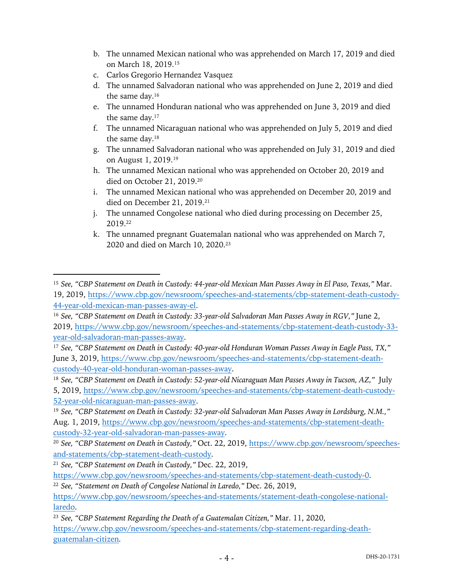- b. The unnamed Mexican national who was apprehended on March 17, 2019 and died on March 18, 2019. 15
- c. Carlos Gregorio Hernandez Vasquez
- d. The unnamed Salvadoran national who was apprehended on June 2, 2019 and died the same day. 16
- e. The unnamed Honduran national who was apprehended on June 3, 2019 and died the same day.17
- f. The unnamed Nicaraguan national who was apprehended on July 5, 2019 and died the same day.18
- g. The unnamed Salvadoran national who was apprehended on July 31, 2019 and died on August 1, 2019.19
- h. The unnamed Mexican national who was apprehended on October 20, 2019 and died on October 21, 2019.20
- i. The unnamed Mexican national who was apprehended on December 20, 2019 and died on December 21, 2019.21
- j. The unnamed Congolese national who died during processing on December 25, 2019.22
- k. The unnamed pregnant Guatemalan national who was apprehended on March 7, 2020 and died on March 10, 2020.23

<sup>15</sup> *See, "CBP Statement on Death in Custody: 44-year-old Mexican Man Passes Away in El Paso, Texas,"* Mar. 19, 2019, https://www.cbp.gov/newsroom/speeches-and-statements/cbp-statement-death-custody-44-year-old-mexican-man-passes-away-el.

<sup>16</sup> *See, "CBP Statement on Death in Custody: 33-year-old Salvadoran Man Passes Away in RGV,"* June 2, 2019, https://www.cbp.gov/newsroom/speeches-and-statements/cbp-statement-death-custody-33 year-old-salvadoran-man-passes-away.

<sup>17</sup> *See, "CBP Statement on Death in Custody: 40-year-old Honduran Woman Passes Away in Eagle Pass, TX,"*  June 3, 2019, https://www.cbp.gov/newsroom/speeches-and-statements/cbp-statement-deathcustody-40-year-old-honduran-woman-passes-away.

<sup>18</sup> *See, "CBP Statement on Death in Custody: 52-year-old Nicaraguan Man Passes Away in Tucson, AZ,"* July 5, 2019, https://www.cbp.gov/newsroom/speeches-and-statements/cbp-statement-death-custody-52-year-old-nicaraguan-man-passes-away.

<sup>19</sup> *See, "CBP Statement on Death in Custody: 32-year-old Salvadoran Man Passes Away in Lordsburg, N.M.,"*  Aug. 1, 2019, https://www.cbp.gov/newsroom/speeches-and-statements/cbp-statement-deathcustody-32-year-old-salvadoran-man-passes-away.

<sup>20</sup> *See, "CBP Statement on Death in Custody,"* Oct. 22, 2019, https://www.cbp.gov/newsroom/speechesand-statements/cbp-statement-death-custody.

<sup>21</sup> *See, "CBP Statement on Death in Custody,"* Dec. 22, 2019,

https://www.cbp.gov/newsroom/speeches-and-statements/cbp-statement-death-custody-0. <sup>22</sup> See, "Statement on Death of Congolese National in Laredo," Dec. 26, 2019,

https://www.cbp.gov/newsroom/speeches-and-statements/statement-death-congolese-nationallaredo.

<sup>23</sup> *See, "CBP Statement Regarding the Death of a Guatemalan Citizen,"* Mar. 11, 2020, https://www.cbp.gov/newsroom/speeches-and-statements/cbp-statement-regarding-deathguatemalan-citizen*.*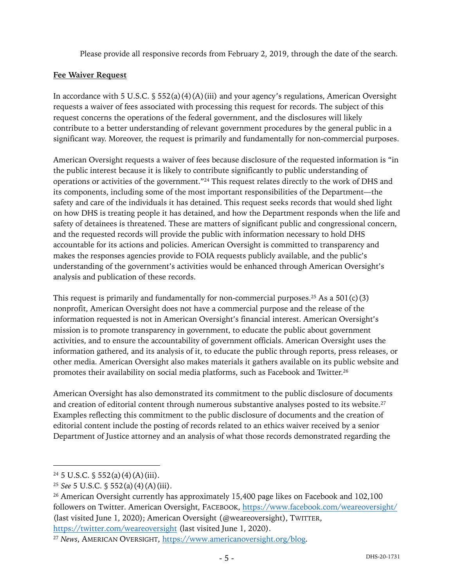Please provide all responsive records from February 2, 2019, through the date of the search.

### **Fee Waiver Request**

In accordance with 5 U.S.C.  $\S 552(a)(4)(A)(iii)$  and your agency's regulations, American Oversight requests a waiver of fees associated with processing this request for records. The subject of this request concerns the operations of the federal government, and the disclosures will likely contribute to a better understanding of relevant government procedures by the general public in a significant way. Moreover, the request is primarily and fundamentally for non-commercial purposes.

American Oversight requests a waiver of fees because disclosure of the requested information is "in the public interest because it is likely to contribute significantly to public understanding of operations or activities of the government."24 This request relates directly to the work of DHS and its components, including some of the most important responsibilities of the Department—the safety and care of the individuals it has detained. This request seeks records that would shed light on how DHS is treating people it has detained, and how the Department responds when the life and safety of detainees is threatened. These are matters of significant public and congressional concern, and the requested records will provide the public with information necessary to hold DHS accountable for its actions and policies. American Oversight is committed to transparency and makes the responses agencies provide to FOIA requests publicly available, and the public's understanding of the government's activities would be enhanced through American Oversight's analysis and publication of these records.

This request is primarily and fundamentally for non-commercial purposes.<sup>25</sup> As a 501(c)(3) nonprofit, American Oversight does not have a commercial purpose and the release of the information requested is not in American Oversight's financial interest. American Oversight's mission is to promote transparency in government, to educate the public about government activities, and to ensure the accountability of government officials. American Oversight uses the information gathered, and its analysis of it, to educate the public through reports, press releases, or other media. American Oversight also makes materials it gathers available on its public website and promotes their availability on social media platforms, such as Facebook and Twitter.26

American Oversight has also demonstrated its commitment to the public disclosure of documents and creation of editorial content through numerous substantive analyses posted to its website. $2^7$ Examples reflecting this commitment to the public disclosure of documents and the creation of editorial content include the posting of records related to an ethics waiver received by a senior Department of Justice attorney and an analysis of what those records demonstrated regarding the

 $24\,5$  U.S.C.  $\frac{6}{3}$  552(a)(4)(A)(iii).

<sup>25</sup> *See* 5 U.S.C. § 552(a)(4)(A)(iii).

<sup>&</sup>lt;sup>26</sup> American Oversight currently has approximately 15,400 page likes on Facebook and 102,100 followers on Twitter. American Oversight, FACEBOOK, https://www.facebook.com/weareoversight/ (last visited June 1, 2020); American Oversight (@weareoversight), TWITTER, https://twitter.com/weareoversight (last visited June 1, 2020).

<sup>27</sup> *News*, AMERICAN OVERSIGHT, https://www.americanoversight.org/blog.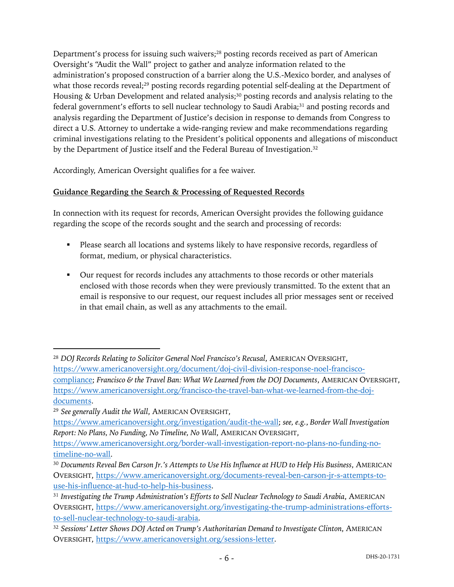Department's process for issuing such waivers;<sup>28</sup> posting records received as part of American Oversight's "Audit the Wall" project to gather and analyze information related to the administration's proposed construction of a barrier along the U.S.-Mexico border, and analyses of what those records reveal;<sup>29</sup> posting records regarding potential self-dealing at the Department of Housing & Urban Development and related analysis;<sup>30</sup> posting records and analysis relating to the federal government's efforts to sell nuclear technology to Saudi Arabia;<sup>31</sup> and posting records and analysis regarding the Department of Justice's decision in response to demands from Congress to direct a U.S. Attorney to undertake a wide-ranging review and make recommendations regarding criminal investigations relating to the President's political opponents and allegations of misconduct by the Department of Justice itself and the Federal Bureau of Investigation.<sup>32</sup>

Accordingly, American Oversight qualifies for a fee waiver.

# **Guidance Regarding the Search & Processing of Requested Records**

In connection with its request for records, American Oversight provides the following guidance regarding the scope of the records sought and the search and processing of records:

- Please search all locations and systems likely to have responsive records, regardless of format, medium, or physical characteristics.
- Our request for records includes any attachments to those records or other materials enclosed with those records when they were previously transmitted. To the extent that an email is responsive to our request, our request includes all prior messages sent or received in that email chain, as well as any attachments to the email.

<sup>&</sup>lt;sup>28</sup> DOJ Records Relating to Solicitor General Noel Francisco's Recusal, AMERICAN OVERSIGHT, https://www.americanoversight.org/document/doj-civil-division-response-noel-franciscocompliance; *Francisco & the Travel Ban: What We Learned from the DOJ Documents*, AMERICAN OVERSIGHT, https://www.americanoversight.org/francisco-the-travel-ban-what-we-learned-from-the-dojdocuments.

<sup>29</sup> *See generally Audit the Wall*, AMERICAN OVERSIGHT,

https://www.americanoversight.org/investigation/audit-the-wall; *see, e.g.*, *Border Wall Investigation Report: No Plans, No Funding, No Timeline, No Wall*, AMERICAN OVERSIGHT,

https://www.americanoversight.org/border-wall-investigation-report-no-plans-no-funding-notimeline-no-wall.

<sup>30</sup> *Documents Reveal Ben Carson Jr.'s Attempts to Use His Influence at HUD to Help His Business*, AMERICAN OVERSIGHT, https://www.americanoversight.org/documents-reveal-ben-carson-jr-s-attempts-touse-his-influence-at-hud-to-help-his-business.

<sup>&</sup>lt;sup>31</sup> Investigating the Trump Administration's Efforts to Sell Nuclear Technology to Saudi Arabia, AMERICAN OVERSIGHT, https://www.americanoversight.org/investigating-the-trump-administrations-effortsto-sell-nuclear-technology-to-saudi-arabia.

<sup>32</sup> *Sessions' Letter Shows DOJ Acted on Trump's Authoritarian Demand to Investigate Clinton*, AMERICAN OVERSIGHT, https://www.americanoversight.org/sessions-letter.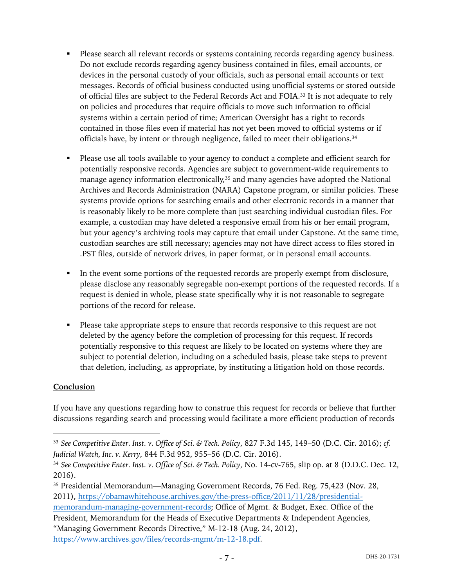- Please search all relevant records or systems containing records regarding agency business. Do not exclude records regarding agency business contained in files, email accounts, or devices in the personal custody of your officials, such as personal email accounts or text messages. Records of official business conducted using unofficial systems or stored outside of official files are subject to the Federal Records Act and FOIA.33 It is not adequate to rely on policies and procedures that require officials to move such information to official systems within a certain period of time; American Oversight has a right to records contained in those files even if material has not yet been moved to official systems or if officials have, by intent or through negligence, failed to meet their obligations.34
- Please use all tools available to your agency to conduct a complete and efficient search for potentially responsive records. Agencies are subject to government-wide requirements to manage agency information electronically,<sup>35</sup> and many agencies have adopted the National Archives and Records Administration (NARA) Capstone program, or similar policies. These systems provide options for searching emails and other electronic records in a manner that is reasonably likely to be more complete than just searching individual custodian files. For example, a custodian may have deleted a responsive email from his or her email program, but your agency's archiving tools may capture that email under Capstone. At the same time, custodian searches are still necessary; agencies may not have direct access to files stored in .PST files, outside of network drives, in paper format, or in personal email accounts.
- In the event some portions of the requested records are properly exempt from disclosure, please disclose any reasonably segregable non-exempt portions of the requested records. If a request is denied in whole, please state specifically why it is not reasonable to segregate portions of the record for release.
- Please take appropriate steps to ensure that records responsive to this request are not deleted by the agency before the completion of processing for this request. If records potentially responsive to this request are likely to be located on systems where they are subject to potential deletion, including on a scheduled basis, please take steps to prevent that deletion, including, as appropriate, by instituting a litigation hold on those records.

## **Conclusion**

If you have any questions regarding how to construe this request for records or believe that further discussions regarding search and processing would facilitate a more efficient production of records

memorandum-managing-government-records; Office of Mgmt. & Budget, Exec. Office of the President, Memorandum for the Heads of Executive Departments & Independent Agencies, "Managing Government Records Directive," M-12-18 (Aug. 24, 2012),

https://www.archives.gov/files/records-mgmt/m-12-18.pdf.

<sup>33</sup> *See Competitive Enter. Inst. v. Office of Sci. & Tech. Policy*, 827 F.3d 145, 149–50 (D.C. Cir. 2016); *cf. Judicial Watch, Inc. v. Kerry*, 844 F.3d 952, 955–56 (D.C. Cir. 2016).

<sup>34</sup> *See Competitive Enter. Inst. v. Office of Sci. & Tech. Policy*, No. 14-cv-765, slip op. at 8 (D.D.C. Dec. 12, 2016).

<sup>35</sup> Presidential Memorandum—Managing Government Records, 76 Fed. Reg. 75,423 (Nov. 28, 2011), https://obamawhitehouse.archives.gov/the-press-office/2011/11/28/presidential-